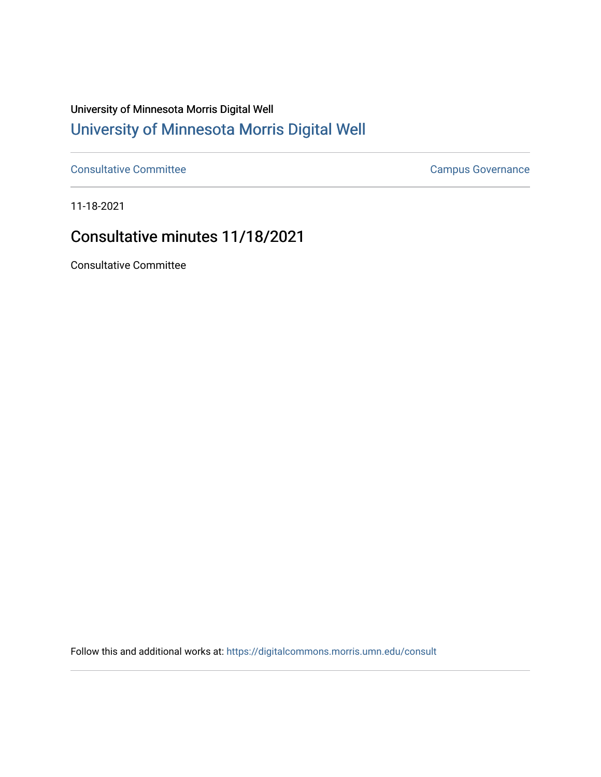## University of Minnesota Morris Digital Well [University of Minnesota Morris Digital Well](https://digitalcommons.morris.umn.edu/)

[Consultative Committee](https://digitalcommons.morris.umn.edu/consult) Committee Consultative Committee Consultative Committee Consultative Committee

11-18-2021

## Consultative minutes 11/18/2021

Consultative Committee

Follow this and additional works at: [https://digitalcommons.morris.umn.edu/consult](https://digitalcommons.morris.umn.edu/consult?utm_source=digitalcommons.morris.umn.edu%2Fconsult%2F198&utm_medium=PDF&utm_campaign=PDFCoverPages)